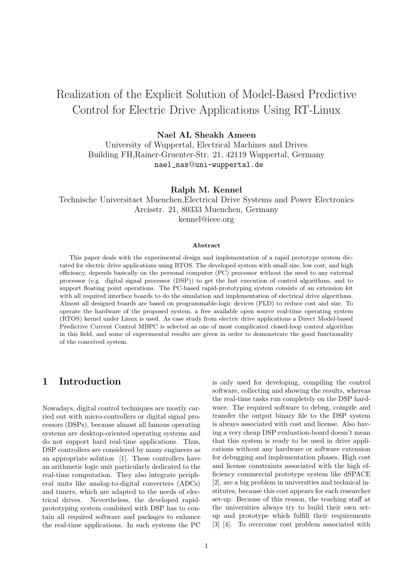# Realization of the Explicit Solution of Model-Based Predictive Control for Electric Drive Applications Using RT-Linux

### Nael AL Sheakh Ameen

University of Wuppertal, Electrical Machines and Drives Building FH,Rainer-Gruenter-Str. 21, 42119 Wuppertal, Germany nael\_nas@uni-wuppertal.de

### Ralph M. Kennel

Technische Universitaet Muenchen,Electrical Drive Systems and Power Electronics Arcisstr. 21, 80333 Muenchen, Germany kennel@ieee.org

#### Abstract

This paper deals with the experimental design and implementation of a rapid prototype system dictated for electric drive applications using RTOS. The developed system with small size, low cost, and high efficiency, depends basically on the personal computer (PC) processor without the need to any external processor (e.g. digital signal processor (DSP)) to get the fast execution of control algorithms, and to support floating point operations. The PC-based rapid-prototyping system consists of an extension kit with all required interface boards to do the simulation and implementation of electrical drive algorithms. Almost all designed boards are based on programmable-logic devices (PLD) to reduce cost and size. To operate the hardware of the proposed system, a free available open source real-time operating system (RTOS) kernel under Linux is used. As case study from electric drive applications a Direct Model-based Predictive Current Control MBPC is selected as one of most complicated closed-loop control algorithm in this field, and some of experimental results are given in order to demonstrate the good functionality of the conceived system.

# 1 Introduction

Nowadays, digital control techniques are mostly carried out with micro-controllers or digital signal processors (DSPs), because almost all famous operating systems are desktop-oriented operating systems and do not support hard real-time applications. Thus, DSP controllers are considered by many engineers as an appropriate solution [1]. These controllers have an arithmetic logic unit particularly dedicated to the real-time computation. They also integrate peripheral units like analog-to-digital converters (ADCs) and timers, which are adapted to the needs of electrical drives. Nevertheless, the developed rapidprototyping system combined with DSP has to contain all required software and packages to enhance the real-time applications. In such systems the PC is only used for developing, compiling the control software, collecting and showing the results, whereas the real-time tasks run completely on the DSP hardware. The required software to debug, compile and transfer the output binary file to the DSP system is always associated with cost and license. Also having a very cheap DSP evaluation-board doesn't mean that this system is ready to be used in drive applications without any hardware or software extension for debugging and implementation phases. High cost and license constraints associated with the high efficiency commercial prototype system like dSPACE [2], are a big problem in universities and technical institutes, because this cost appears for each researcher set-up. Because of this reason, the teaching staff at the universities always try to build their own setup and prototype which fulfill their requirements [3] [4]. To overcome cost problem associated with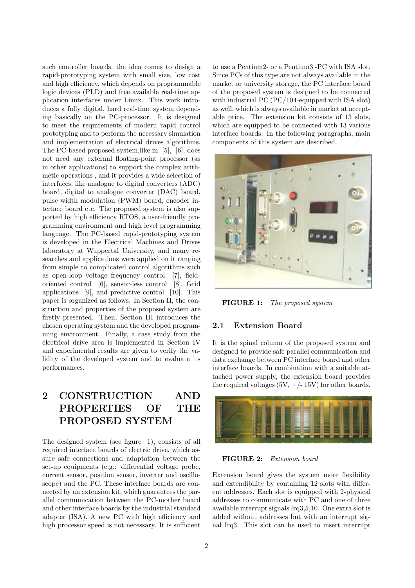such controller boards, the idea comes to design a rapid-prototyping system with small size, low cost and high efficiency, which depends on programmable logic devices (PLD) and free available real-time application interfaces under Linux. This work introduces a fully digital, hard real-time system depending basically on the PC-processor. It is designed to meet the requirements of modern rapid control prototyping and to perform the necessary simulation and implementation of electrical drives algorithms. The PC-based proposed system,like in [5], [6], does not need any external floating-point processor (as in other applications) to support the complex arithmetic operations , and it provides a wide selection of interfaces, like analogue to digital converters (ADC) board, digital to analogue converter (DAC) board, pulse width modulation (PWM) board, encoder interface board etc. The proposed system is also supported by high efficiency RTOS, a user-friendly programming environment and high level programming language. The PC-based rapid-prototyping system is developed in the Electrical Machines and Drives laboratory at Wuppertal University, and many researches and applications were applied on it ranging from simple to complicated control algorithms such as open-loop voltage frequency control [7], fieldoriented control [6], sensor-less control [8], Grid applications [9], and predictive control [10]. This paper is organized as follows. In Section II, the construction and properties of the proposed system are firstly presented. Then, Section III introduces the chosen operating system and the developed programming environment. Finally, a case study from the electrical drive area is implemented in Section IV and experimental results are given to verify the validity of the developed system and to evaluate its performances.

# 2 CONSTRUCTION AND PROPERTIES OF THE PROPOSED SYSTEM

The designed system (see figure 1), consists of all required interface boards of electric drive, which assure safe connections and adaptation between the set-up equipments (e.g.: differential voltage probe, current sensor, position sensor, inverter and oscilloscope) and the PC. These interface boards are connected by an extension kit, which guarantees the parallel communication between the PC-mother board and other interface boards by the industrial standard adapter (ISA). A new PC with high efficiency and high processor speed is not necessary. It is sufficient to use a Pentium2- or a Pentium3 -PC with ISA slot. Since PCs of this type are not always available in the market or university storage, the PC interface board of the proposed system is designed to be connected with industrial PC (PC/104-equipped with ISA slot) as well, which is always available in market at acceptable price. The extension kit consists of 13 slots, which are equipped to be connected with 13 various interface boards. In the following paragraphs, main components of this system are described.



FIGURE 1: *The proposed system*

### 2.1 Extension Board

It is the spinal column of the proposed system and designed to provide safe parallel communication and data exchange between PC interface board and other interface boards. In combination with a suitable attached power supply, the extension board provides the required voltages  $(5V, +/- 15V)$  for other boards.



FIGURE 2: *Extension board*

Extension board gives the system more flexibility and extendibility by containing 12 slots with different addresses. Each slot is equipped with 2-physical addresses to communicate with PC and one of three available interrupt signals Irq3,5,10. One extra slot is added without addresses but with an interrupt signal Irq3. This slot can be used to insert interrupt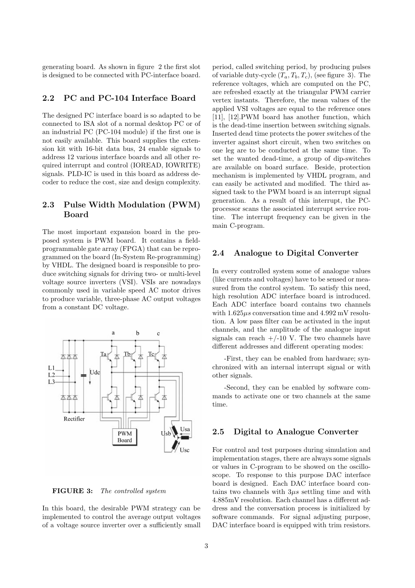generating board. As shown in figure 2 the first slot is designed to be connected with PC-interface board.

### 2.2 PC and PC-104 Interface Board

The designed PC interface board is so adapted to be connected to ISA slot of a normal desktop PC or of an industrial PC (PC-104 module) if the first one is not easily available. This board supplies the extension kit with 16-bit data bus, 24 enable signals to address 12 various interface boards and all other required interrupt and control (IOREAD, IOWRITE) signals. PLD-IC is used in this board as address decoder to reduce the cost, size and design complexity.

### 2.3 Pulse Width Modulation (PWM) Board

The most important expansion board in the proposed system is PWM board. It contains a fieldprogrammable gate array (FPGA) that can be reprogrammed on the board (In-System Re-programming) by VHDL. The designed board is responsible to produce switching signals for driving two- or multi-level voltage source inverters (VSI). VSIs are nowadays commonly used in variable speed AC motor drives to produce variable, three-phase AC output voltages from a constant DC voltage.





In this board, the desirable PWM strategy can be implemented to control the average output voltages of a voltage source inverter over a sufficiently small period, called switching period, by producing pulses of variable duty-cycle  $(T_a, T_b, T_c)$ , (see figure 3). The reference voltages, which are computed on the PC, are refreshed exactly at the triangular PWM carrier vertex instants. Therefore, the mean values of the applied VSI voltages are equal to the reference ones [11], [12].PWM board has another function, which is the dead-time insertion between switching signals. Inserted dead time protects the power switches of the inverter against short circuit, when two switches on one leg are to be conducted at the same time. To set the wanted dead-time, a group of dip-switches are available on board surface. Beside, protection mechanism is implemented by VHDL program, and can easily be activated and modified. The third assigned task to the PWM board is an interrupt signal generation. As a result of this interrupt, the PCprocessor scans the associated interrupt service routine. The interrupt frequency can be given in the main C-program.

### 2.4 Analogue to Digital Converter

In every controlled system some of analogue values (like currents and voltages) have to be sensed or measured from the control system. To satisfy this need, high resolution ADC interface board is introduced. Each ADC interface board contains two channels with  $1.625\mu s$  conversation time and  $4.992 \text{ mV}$  resolution. A low pass filter can be activated in the input channels, and the amplitude of the analogue input signals can reach  $+/-10$  V. The two channels have different addresses and different operating modes:

-First, they can be enabled from hardware; synchronized with an internal interrupt signal or with other signals.

-Second, they can be enabled by software commands to activate one or two channels at the same time.

### 2.5 Digital to Analogue Converter

For control and test purposes during simulation and implementation stages, there are always some signals or values in C-program to be showed on the oscilloscope. To response to this purpose DAC interface board is designed. Each DAC interface board contains two channels with  $3\mu s$  settling time and with 4.885mV resolution. Each channel has a different address and the conversation process is initialized by software commands. For signal adjusting purpose, DAC interface board is equipped with trim resistors.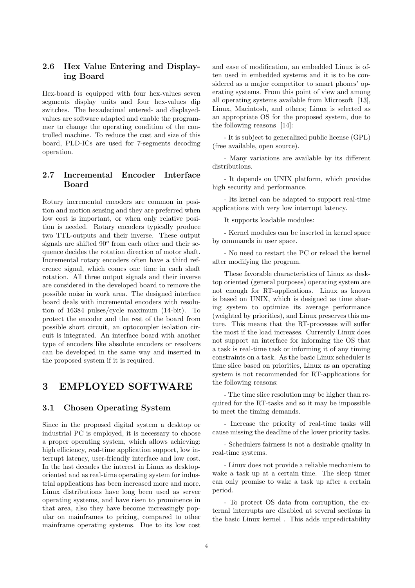# 2.6 Hex Value Entering and Displaying Board

Hex-board is equipped with four hex-values seven segments display units and four hex-values dip switches. The hexadecimal entered- and displayedvalues are software adapted and enable the programmer to change the operating condition of the controlled machine. To reduce the cost and size of this board, PLD-ICs are used for 7-segments decoding operation.

# 2.7 Incremental Encoder Interface Board

Rotary incremental encoders are common in position and motion sensing and they are preferred when low cost is important, or when only relative position is needed. Rotary encoders typically produce two TTL-outputs and their inverse. These output signals are shifted  $90^o$  from each other and their sequence decides the rotation direction of motor shaft. Incremental rotary encoders often have a third reference signal, which comes one time in each shaft rotation. All three output signals and their inverse are considered in the developed board to remove the possible noise in work area. The designed interface board deals with incremental encoders with resolution of 16384 pulses/cycle maximum (14-bit). To protect the encoder and the rest of the board from possible short circuit, an optocoupler isolation circuit is integrated. An interface board with another type of encoders like absolute encoders or resolvers can be developed in the same way and inserted in the proposed system if it is required.

# 3 EMPLOYED SOFTWARE

### 3.1 Chosen Operating System

Since in the proposed digital system a desktop or industrial PC is employed, it is necessary to choose a proper operating system, which allows achieving: high efficiency, real-time application support, low interrupt latency, user-friendly interface and low cost. In the last decades the interest in Linux as desktoporiented and as real-time operating system for industrial applications has been increased more and more. Linux distributions have long been used as server operating systems, and have risen to prominence in that area, also they have become increasingly popular on mainframes to pricing, compared to other mainframe operating systems. Due to its low cost and ease of modification, an embedded Linux is often used in embedded systems and it is to be considered as a major competitor to smart phones' operating systems. From this point of view and among all operating systems available from Microsoft [13], Linux, Macintosh, and others; Linux is selected as an appropriate OS for the proposed system, due to the following reasons [14]:

- It is subject to generalized public license (GPL) (free available, open source).

- Many variations are available by its different distributions.

- It depends on UNIX platform, which provides high security and performance.

- Its kernel can be adapted to support real-time applications with very low interrupt latency.

It supports loadable modules:

- Kernel modules can be inserted in kernel space by commands in user space.

- No need to restart the PC or reload the kernel after modifying the program.

These favorable characteristics of Linux as desktop oriented (general purposes) operating system are not enough for RT-applications. Linux as known is based on UNIX, which is designed as time sharing system to optimize its average performance (weighted by priorities), and Linux preserves this nature. This means that the RT-processes will suffer the most if the load increases. Currently Linux does not support an interface for informing the OS that a task is real-time task or informing it of any timing constraints on a task. As the basic Linux scheduler is time slice based on priorities, Linux as an operating system is not recommended for RT-applications for the following reasons:

- The time slice resolution may be higher than required for the RT-tasks and so it may be impossible to meet the timing demands.

- Increase the priority of real-time tasks will cause missing the deadline of the lower priority tasks.

- Schedulers fairness is not a desirable quality in real-time systems.

- Linux does not provide a reliable mechanism to wake a task up at a certain time. The sleep timer can only promise to wake a task up after a certain period.

- To protect OS data from corruption, the external interrupts are disabled at several sections in the basic Linux kernel . This adds unpredictability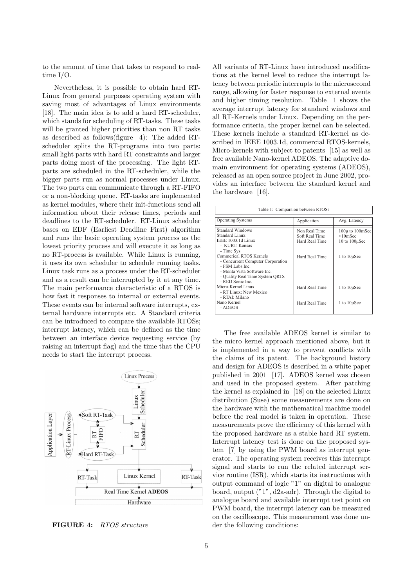to the amount of time that takes to respond to realtime I/O.

Nevertheless, it is possible to obtain hard RT-Linux from general purposes operating system with saving most of advantages of Linux environments [18]. The main idea is to add a hard RT-scheduler, which stands for scheduling of RT-tasks. These tasks will be granted higher priorities than non RT tasks as described as follows(figure 4): The added RTscheduler splits the RT-programs into two parts: small light parts with hard RT constraints and larger parts doing most of the processing. The light RTparts are scheduled in the RT-scheduler, while the bigger parts run as normal processes under Linux. The two parts can communicate through a RT-FIFO or a non-blocking queue. RT-tasks are implemented as kernel modules, where their init-functions send all information about their release times, periods and deadlines to the RT-scheduler. RT-Linux scheduler bases on EDF (Earliest Deadline First) algorithm and runs the basic operating system process as the lowest priority process and will execute it as long as no RT-process is available. While Linux is running, it uses its own scheduler to schedule running tasks. Linux task runs as a process under the RT-scheduler and as a result can be interrupted by it at any time. The main performance characteristic of a RTOS is how fast it responses to internal or external events. These events can be internal software interrupts, external hardware interrupts etc. A Standard criteria can be introduced to compare the available RTOSs; interrupt latency, which can be defined as the time between an interface device requesting service (by raising an interrupt flag) and the time that the CPU needs to start the interrupt process.



FIGURE 4: *RTOS structure*

All variants of RT-Linux have introduced modifications at the kernel level to reduce the interrupt latency between periodic interrupts to the microsecond range, allowing for faster response to external events and higher timing resolution. Table 1 shows the average interrupt latency for standard windows and all RT-Kernels under Linux. Depending on the performance criteria, the proper kernel can be selected. These kernels include a standard RT-kernel as described in IEEE 1003.1d, commercial RTOS-kernels, Micro-kernels with subject to patents [15] as well as free available Nano-kernel ADEOS. The adaptive domain environment for operating systems (ADEOS), released as an open source project in June 2002, provides an interface between the standard kernel and the hardware [16].

| Table 1: Comparsion between RTOSs                                                                                                                                                                                                                                                                                                                             |                                                                                                         |                                                                                                                          |
|---------------------------------------------------------------------------------------------------------------------------------------------------------------------------------------------------------------------------------------------------------------------------------------------------------------------------------------------------------------|---------------------------------------------------------------------------------------------------------|--------------------------------------------------------------------------------------------------------------------------|
| <b>Operating Systems</b>                                                                                                                                                                                                                                                                                                                                      | Application                                                                                             | Avg. Latency                                                                                                             |
| Standard Windows<br>Standard Linux<br>IEEE 1003.1d Linux<br>- KURT: Kansas<br>- Time Sys<br>Commerical RTOS Kernels<br>- Concurrent Computer Corporation<br>- FSM Labs Inc.<br>- Monta Vista Software Inc.<br>- Quality Real Time System QRTS<br>- RED Sonic Inc.<br>Micro-Kernel Linux<br>- RT Linux: New Mexico<br>- RTAI: Milano<br>Nano Kernel<br>- ADEOS | Non Real Time<br>Soft Real Time<br>Hard Real Time<br>Hard Real Time<br>Hard Real Time<br>Hard Real Time | $100\mu$ to $100\text{m}$ Sec<br>$>10m$ Sec<br>10 to $100\mu$ Sec<br>1 to $10\mu$ Sec<br>1 to 10uSec<br>1 to $10\mu$ Sec |

The free available ADEOS kernel is similar to the micro kernel approach mentioned above, but it is implemented in a way to prevent conflicts with the claims of its patent. The background history and design for ADEOS is described in a white paper published in 2001 [17]. ADEOS kernel was chosen and used in the proposed system. After patching the kernel as explained in [18] on the selected Linux distribution (Suse) some measurements are done on the hardware with the mathematical machine model before the real model is taken in operation. These measurements prove the efficiency of this kernel with the proposed hardware as a stable hard RT system. Interrupt latency test is done on the proposed system [7] by using the PWM board as interrupt generator. The operating system receives this interrupt signal and starts to run the related interrupt service routine (ISR), which starts its instructions with output command of logic "1" on digital to analogue board, output ("1", d2a-adr). Through the digital to analogue board and available interrupt test point on PWM board, the interrupt latency can be measured on the oscilloscope. This measurement was done under the following conditions: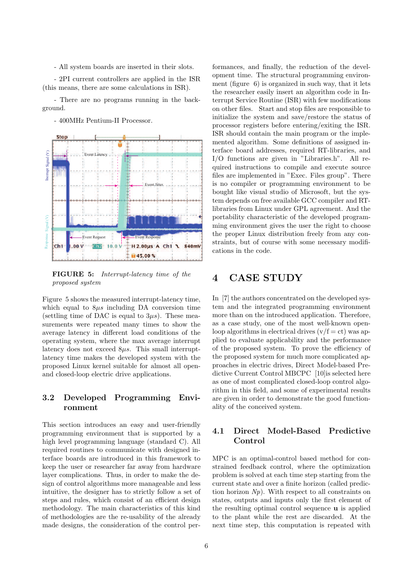- All system boards are inserted in their slots.

- 2PI current controllers are applied in the ISR (this means, there are some calculations in ISR).

- There are no programs running in the background.

- 400MHz Pentium-II Processor.



FIGURE 5: *Interrupt-latency time of the proposed system*

Figure 5 shows the measured interrupt-latency time, which equal to  $8\mu s$  including DA conversion time (settling time of DAC is equal to  $3\mu s$ ). These measurements were repeated many times to show the average latency in different load conditions of the operating system, where the max average interrupt latency does not exceed  $8\mu s$ . This small interruptlatency time makes the developed system with the proposed Linux kernel suitable for almost all openand closed-loop electric drive applications.

### 3.2 Developed Programming Environment

This section introduces an easy and user-friendly programming environment that is supported by a high level programming language (standard C). All required routines to communicate with designed interface boards are introduced in this framework to keep the user or researcher far away from hardware layer complications. Thus, in order to make the design of control algorithms more manageable and less intuitive, the designer has to strictly follow a set of steps and rules, which consist of an efficient design methodology. The main characteristics of this kind of methodologies are the re-usability of the already made designs, the consideration of the control performances, and finally, the reduction of the development time. The structural programming environment (figure 6) is organized in such way, that it lets the researcher easily insert an algorithm code in Interrupt Service Routine (ISR) with few modifications on other files. Start and stop files are responsible to initialize the system and save/restore the status of processor registers before entering/exiting the ISR. ISR should contain the main program or the implemented algorithm. Some definitions of assigned interface board addresses, required RT-libraries, and I/O functions are given in "Libraries.h". All required instructions to compile and execute source files are implemented in "Exec. Files group". There is no compiler or programming environment to be bought like visual studio of Microsoft, but the system depends on free available GCC compiler and RTlibraries from Linux under GPL agreement. And the portability characteristic of the developed programming environment gives the user the right to choose the proper Linux distribution freely from any constraints, but of course with some necessary modifications in the code.

## 4 CASE STUDY

In [7] the authors concentrated on the developed system and the integrated programming environment more than on the introduced application. Therefore, as a case study, one of the most well-known openloop algorithms in electrical drives  $(v/f = ct)$  was applied to evaluate applicability and the performance of the proposed system. To prove the efficiency of the proposed system for much more complicated approaches in electric drives, Direct Model-based Predictive Current Control MBCPC [10]is selected here as one of most complicated closed-loop control algorithm in this field, and some of experimental results are given in order to demonstrate the good functionality of the conceived system.

# 4.1 Direct Model-Based Predictive Control

MPC is an optimal-control based method for constrained feedback control, where the optimization problem is solved at each time step starting from the current state and over a finite horizon (called prediction horizon *Np*). With respect to all constraints on states, outputs and inputs only the first element of the resulting optimal control sequence u is applied to the plant while the rest are discarded. At the next time step, this computation is repeated with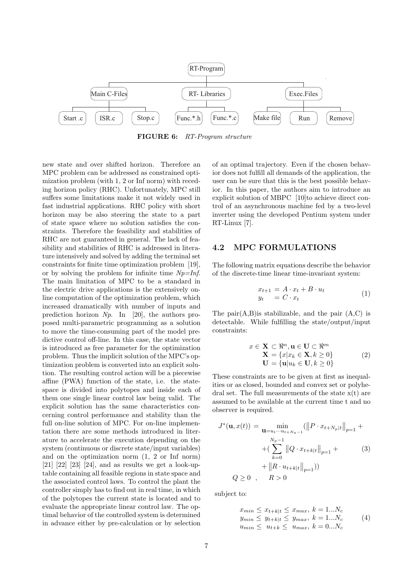

FIGURE 6: *RT-Program structure*

new state and over shifted horizon. Therefore an MPC problem can be addressed as constrained optimization problem (with 1, 2 or Inf norm) with receding horizon policy (RHC). Unfortunately, MPC still suffers some limitations make it not widely used in fast industrial applications. RHC policy with short horizon may be also steering the state to a part of state space where no solution satisfies the constraints. Therefore the feasibility and stabilities of RHC are not guaranteed in general. The lack of feasibility and stabilities of RHC is addressed in literature intensively and solved by adding the terminal set constraints for finite time optimization problem [19], or by solving the problem for infinite time *Np=Inf*. The main limitation of MPC to be a standard in the electric drive applications is the extensively online computation of the optimization problem, which increased dramatically with number of inputs and prediction horizon *Np*. In [20], the authors proposed multi-parametric programming as a solution to move the time-consuming part of the model predictive control off-line. In this case, the state vector is introduced as free parameter for the optimization problem. Thus the implicit solution of the MPC's optimization problem is converted into an explicit solution. The resulting control action will be a piecewise affine (PWA) function of the state, i.e. the statespace is divided into polytopes and inside each of them one single linear control law being valid. The explicit solution has the same characteristics concerning control performance and stability than the full on-line solution of MPC. For on-line implementation there are some methods introduced in literature to accelerate the execution depending on the system (continuous or discrete state/input variables) and on the optimization norm (1, 2 or Inf norm) [21] [22] [23] [24], and as results we get a look-uptable containing all feasible regions in state space and the associated control laws. To control the plant the controller simply has to find out in real time, in which of the polytopes the current state is located and to evaluate the appropriate linear control law. The optimal behavior of the controlled system is determined in advance either by pre-calculation or by selection

of an optimal trajectory. Even if the chosen behavior does not fulfill all demands of the application, the user can be sure that this is the best possible behavior. In this paper, the authors aim to introduce an explicit solution of MBPC [10]to achieve direct control of an asynchronous machine fed by a two-level inverter using the developed Pentium system under RT-Linux [7].

### 4.2 MPC FORMULATIONS

The following matrix equations describe the behavior of the discrete-time linear time-invariant system:

$$
x_{t+1} = A \cdot x_t + B \cdot u_t
$$
  
\n
$$
y_t = C \cdot x_t
$$
\n(1)

The pair(A,B)is stabilizable, and the pair (A,C) is detectable. While fulfilling the state/output/input constraints:

$$
x \in \mathbf{X} \subset \mathbb{R}^n, \mathbf{u} \in \mathbf{U} \subset \mathbb{R}^m
$$
  
\n
$$
\mathbf{X} = \{x | x_k \in \mathbf{X}, k \ge 0\}
$$
  
\n
$$
\mathbf{U} = \{\mathbf{u} | u_k \in \mathbf{U}, k \ge 0\}
$$
 (2)

These constraints are to be given at first as inequalities or as closed, bounded and convex set or polyhedral set. The full measurements of the state  $x(t)$  are assumed to be available at the current time t and no observer is required.

$$
J^*(\mathbf{u}, x(t)) = \min_{\mathbf{u} = u_t \cdots u_{t+N_u-1}} (||P \cdot x_{t+N_p|t}||_{p=1} + \sum_{k=0}^{N_p-1} ||Q \cdot x_{t+k|t}||_{p=1} + \sum_{k=0}^{N_p-1} ||Q \cdot x_{t+k|t}||_{p=1})
$$
\n
$$
Q \ge 0 \quad , \quad R > 0
$$
\n(3)

subject to:

$$
x_{min} \leq x_{t+k|t} \leq x_{max}, k = 1...N_c
$$
  
\n
$$
y_{min} \leq y_{t+k|t} \leq y_{max}, k = 1...N_c
$$
  
\n
$$
u_{min} \leq u_{t+k} \leq u_{max}, k = 0...N_c
$$
\n(4)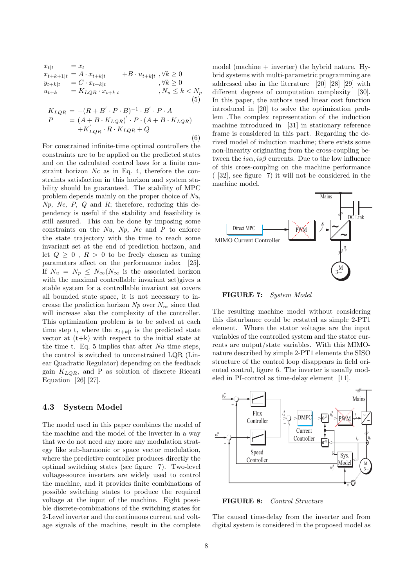$$
x_{t|t} = x_t
$$
  
\n
$$
x_{t+k+1|t} = A \cdot x_{t+k|t} + B \cdot u_{t+k|t}, \forall k \ge 0
$$
  
\n
$$
y_{t+k|t} = C \cdot x_{t+k|t}, \forall k \ge 0
$$
  
\n
$$
u_{t+k} = K_{LQR} \cdot x_{t+k|t}, \qquad , N_u \le k < N_p
$$
  
\n(5)

$$
K_{LQR} = -(R + B' \cdot P \cdot B)^{-1} \cdot B' \cdot P \cdot A
$$
  
\n
$$
P = (A + B \cdot K_{LQR})' \cdot P \cdot (A + B \cdot K_{LQR})
$$
  
\n
$$
+ K'_{LQR} \cdot R \cdot K_{LQR} + Q
$$
  
\n(6)

For constrained infinite-time optimal controllers the constraints are to be applied on the predicted states and on the calculated control laws for a finite constraint horizon *Nc* as in Eq. 4, therefore the constraints satisfaction in this horizon and system stability should be guaranteed. The stability of MPC problem depends mainly on the proper choice of *Nu, Np, Nc, P, Q* and *R*; therefore, reducing this dependency is useful if the stability and feasibility is still assured. This can be done by imposing some constraints on the *Nu, Np, Nc* and *P* to enforce the state trajectory with the time to reach some invariant set at the end of prediction horizon, and let  $Q \geq 0$ ,  $R > 0$  to be freely chosen as tuning parameters affect on the performance index [25]. If  $N_u = N_p \leq N_\infty(N_\infty)$  is the associated horizon with the maximal controllable invariant set)gives a stable system for a controllable invariant set covers all bounded state space, it is not necessary to increase the prediction horizon  $Np$  over  $N_{\infty}$  since that will increase also the complexity of the controller. This optimization problem is to be solved at each time step t, where the  $x_{t+k|t}$  is the predicted state vector at  $(t+k)$  with respect to the initial state at the time t. Eq. 5 implies that after *Nu* time steps, the control is switched to unconstrained LQR (Linear Quadratic Regulator) depending on the feedback gain  $K_{LOR}$ , and P as solution of discrete Riccati Equation [26] [27].

### 4.3 System Model

The model used in this paper combines the model of the machine and the model of the inverter in a way that we do not need any more any modulation strategy like sub-harmonic or space vector modulation, where the predictive controller produces directly the optimal switching states (see figure 7). Two-level voltage-source inverters are widely used to control the machine, and it provides finite combinations of possible switching states to produce the required voltage at the input of the machine. Eight possible discrete-combinations of the switching states for 2-Level inverter and the continuous current and voltage signals of the machine, result in the complete model (machine  $+$  inverter) the hybrid nature. Hybrid systems with multi-parametric programming are addressed also in the literature [20] [28] [29] with different degrees of computation complexity [30]. In this paper, the authors used linear cost function introduced in [20] to solve the optimization problem .The complex representation of the induction machine introduced in [31] in stationary reference frame is considered in this part. Regarding the derived model of induction machine; there exists some non-linearity originating from the cross-coupling between the  $is\alpha, is\beta$  currents. Due to the low influence of this cross-coupling on the machine performance ( [32], see figure 7) it will not be considered in the machine model.



FIGURE 7: *System Model*

The resulting machine model without considering this disturbance could be restated as simple 2-PT1 element. Where the stator voltages are the input variables of the controlled system and the stator currents are output/state variables. With this MIMOnature described by simple 2-PT1 elements the SISO structure of the control loop disappears in field oriented control, figure 6. The inverter is usually modeled in PI-control as time-delay element [11].



FIGURE 8: *Control Structure*

The caused time-delay from the inverter and from digital system is considered in the proposed model as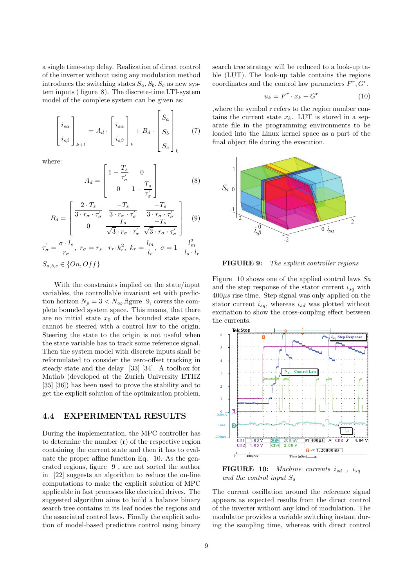a single time-step delay. Realization of direct control of the inverter without using any modulation method introduces the switching states  $S_a$ ,  $S_b$ ,  $S_c$  as new system inputs ( figure 8). The discrete-time LTI-system model of the complete system can be given as:

$$
\begin{bmatrix} i_{s\alpha} \\ i_{s\beta} \end{bmatrix}_{k+1} = A_d \cdot \begin{bmatrix} i_{s\alpha} \\ i_{s\beta} \end{bmatrix}_k + B_d \cdot \begin{bmatrix} S_a \\ S_b \\ S_c \end{bmatrix}_k \tag{7}
$$

where:

$$
A_d = \begin{bmatrix} 1 - \frac{T_s}{\tau_\sigma'} & 0\\ 0 & 1 - \frac{T_s}{\tau_\sigma'} \end{bmatrix}
$$
 (8)

$$
B_d = \begin{bmatrix} \frac{2 \cdot T_s}{3 \cdot r_{\sigma} \cdot \tau_{\sigma}'} & \frac{-T_s}{3 \cdot r_{\sigma} \cdot \tau_{\sigma}'} & \frac{-T_s}{3 \cdot r_{\sigma} \cdot \tau_{\sigma}'}\\ 0 & \frac{T_s}{\sqrt{2} \cdot r_{\sigma} \cdot \tau_{\sigma}'} & \frac{-T_s}{\sqrt{2} \cdot r_{\sigma} \cdot \tau_{\sigma}'} \end{bmatrix} \tag{9}
$$

$$
\begin{aligned}\n& \left[ \n\begin{array}{cc}\n\sqrt{3} \cdot r_{\sigma} \cdot \tau_{\sigma}' & \sqrt{3} \cdot r_{\sigma} \cdot \tau_{\sigma}' \n\end{array} \right] \\
\tau_{\sigma}' &= \frac{\sigma \cdot l_s}{r_{\sigma}}, \ r_{\sigma} = r_s + r_r \cdot k_r^2, \ k_r = \frac{l_m}{l_r}, \ \sigma = 1 - \frac{l_m^2}{l_s \cdot l_r} \\
S_{a,b,c} &\in \{On, Off\}\n\end{array}\n\end{aligned}
$$

With the constraints implied on the state/input variables, the controllable invariant set with prediction horizon  $N_p = 3 < N_\infty$ , figure 9, covers the complete bounded system space. This means, that there are no initial state  $x_0$  of the bounded state space, cannot be steered with a control law to the origin. Steering the state to the origin is not useful when the state variable has to track some reference signal. Then the system model with discrete inputs shall be reformulated to consider the zero-offset tracking in steady state and the delay [33] [34]. A toolbox for Matlab (developed at the Zurich University ETHZ [35] [36]) has been used to prove the stability and to get the explicit solution of the optimization problem.

## 4.4 EXPERIMENTAL RESULTS

During the implementation, the MPC controller has to determine the number (r) of the respective region containing the current state and then it has to evaluate the proper affine function Eq. 10. As the generated regions, figure 9 , are not sorted the author in [22] suggests an algorithm to reduce the on-line computations to make the explicit solution of MPC applicable in fast processes like electrical drives. The suggested algorithm aims to build a balance binary search tree contains in its leaf nodes the regions and the associated control laws. Finally the explicit solution of model-based predictive control using binary search tree strategy will be reduced to a look-up table (LUT). The look-up table contains the regions coordinates and the control law parameters  $F^r, G^r$ .

$$
u_k = F^r \cdot x_k + G^r \tag{10}
$$

,where the symbol r refers to the region number contains the current state  $x_k$ . LUT is stored in a separate file in the programming environments to be loaded into the Linux kernel space as a part of the final object file during the execution.



FIGURE 9: *The explicit controller regions*

Figure 10 shows one of the applied control laws *Sa* and the step response of the stator current  $i_{sa}$  with  $400\mu s$  rise time. Step signal was only applied on the stator current  $i_{sq}$ , whereas  $i_{sd}$  was plotted without excitation to show the cross-coupling effect between the currents.



FIGURE 10: *Machine currents*  $i_{sd}$ ,  $i_{sg}$ *and the control input* S<sup>a</sup>

The current oscillation around the reference signal appears as expected results from the direct control of the inverter without any kind of modulation. The modulator provides a variable switching instant during the sampling time, whereas with direct control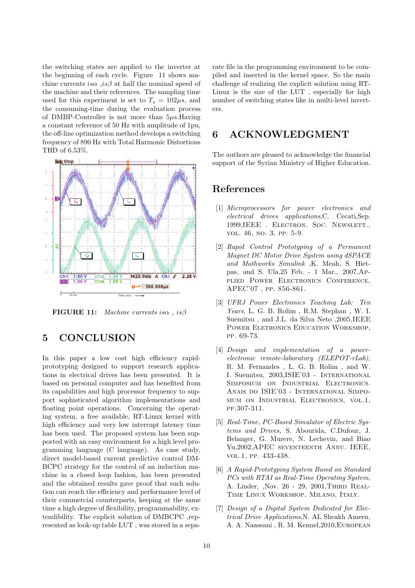the switching states are applied to the inverter at the beginning of each cycle. Figure 11 shows machine currents is a , is  $\beta$  at half the nominal speed of the machine and their references. The sampling time used for this experiment is set to  $T_s = 102 \mu s$ , and the consuming-time during the evaluation process of DMBP-Controller is not more than  $5\mu s$ . Having a constant reference of 50 Hz with amplitude of 1pu, the off-line optimization method develops a switching frequency of 890 Hz with Total Harmonic Distortions THD of 6.53%.



**FIGURE 11:** *Machine currents* is  $\alpha$ , is  $\beta$ 

# 5 CONCLUSION

In this paper a low cost high efficiency rapidprototyping designed to support research applications in electrical drives has been presented. It is based on personal computer and has benefited from its capabilities and high processor frequency to support sophisticated algorithm implementations and floating point operations. Concerning the operating system, a free available, RT-Linux kernel with high efficiency and very low interrupt latency time has been used. The proposed system has been supported with an easy environment for a high level programming language (C language). As case study, direct model-based current predictive control DM-BCPC strategy for the control of an induction machine in a closed loop fashion, has been presented and the obtained results gave proof that such solution can reach the efficiency and performance level of their commercial counterparts, keeping at the same time a high degree of flexibility, programmability, extendibility. The explicit solution of DMBCPC ,represented as look-up table LUT , was stored in a separate file in the programming environment to be compiled and inserted in the kernel space. So the main challenge of realizing the explicit solution using RT-Linux is the size of the LUT , especially for high number of switching states like in multi-level inverters.

# 6 ACKNOWLEDGMENT

The authors are pleased to acknowledge the financial support of the Syrian Ministry of Higher Education.

# References

- [1] *Microprocessors for power electronics and electrical drives applications*,C. Cecati,Sep. 1999, IEEE . ELECTRON. SOC. NEWSLETT., vol. 46, no. 3, pp. 5-9.
- [2] *Rapid Control Prototyping of a Permanent Magnet DC Motor Drive System using dSPACE and Mathworks Simulink ,*K. Meah, S. Hietpas, and S. Ula,25 Feb. - 1 Mar., 2007,Applied Power Electronics Conference, APEC'07 , pp. 856-861.
- [3] *UFRJ Power Electronics Teaching Lab: Ten Years,* L. G. B. Rolim , R.M. Stephan , W. I. Suemitsu , and J.L. da Silva Neto ,2005,IEEE Power Eletronics Education Workshop, pp. 69-73.
- [4] *Design and implementation of a powerelectronic remote-laboratory (ELEPOT-rLab),* R. M. Fernandes , L. G. B. Rolim , and W. I. Suemitsu, 2003,ISIE'03 - International SIMPOSIUM ON INDUSTRIAL ELECTRONICS. Anais do ISIE'03 - International Simposium on Industrial Electronics, vol.1, pp.307-311.
- [5] *Real-Time, PC-Based Simulator of Electric Systems and Drives,* S. Abourida, C.Dufour, J. Belanger, G. Murere, N. Lechevin, and Biao Yu, 2002, APEC SEVENTEENTH ANNU. IEEE, vol.1, pp. 433-438.
- [6] *A Rapid-Prototyping System Based on Standard PCs with RTAI as Real-Time Operating System,* A. Linder, ,Nov. 26 - 29, 2001, THIRD REAL-Time Linux Workshop, Milano, Italy.
- [7] *Design of a Digital System Dedicated for Electrical Drive Applications*,N. AL Sheakh Ameen, A. A. Naassani , R. M. Kennel,2010,European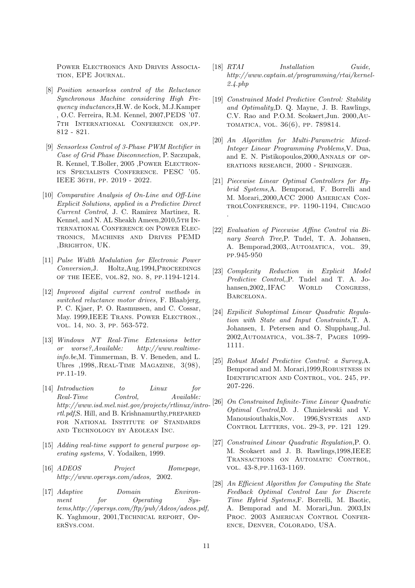POWER ELECTRONICS AND DRIVES ASSOCIAtion, EPE Journal.

- [8] *Position sensorless control of the Reluctance Synchronous Machine considering High Frequency inductances,*H.W. de Kock, M.J.Kamper , O.C. Ferreira, R.M. Kennel, 2007,PEDS '07. 7th International Conference on,pp. 812 - 821.
- [9] *Sensorless Control of 3-Phase PWM Rectifier in Case of Grid Phase Disconnection,* P. Szczupak, R. Kennel, T.Boller, 2005 , POWER ELECTRONics Specialists Conference. PESC '05. IEEE 36th, pp. 2019 - 2022.
- [10] *Comparative Analysis of On-Line and Off-Line Explicit Solutions, applied in a Predictive Direct Current Control,* J. C. Ramirez Martinez, R. Kennel, and N. AL Sheakh Ameen, 2010, 5TH INternational Conference on Power Electronics, Machines and Drives PEMD ,Brighton, UK.
- [11] *Pulse Width Modulation for Electronic Power Conversion,*J. Holtz,Aug.1994,Proceedings of the IEEE, vol.82, no. 8, pp.1194-1214.
- [12] *Improved digital current control methods in switched reluctance motor drives,* F. Blaabjerg, P. C. Kjaer, P. O. Rasmussen, and C. Cossar, May. 1999,IEEE Trans. Power Electron., vol. 14, no. 3, pp. 563-572.
- [13] *Windows NT Real-Time Extensions better or worse?,Available: http://www.realtimeinfo.be*,M. Timmerman, B. V. Beneden, and L. Uhres ,1998,.Real-Time Magazine, 3(98), pp.11-19.
- [14] *Introduction to Linux for Real-Time Control, Available: rtl.pdf*,S. Hill, and B. Krishnamurthy,prepared for National Institute of Standards and Technology by Aeolean Inc.
- [15] *Adding real-time support to general purpose operating systems,* V. Yodaiken, 1999.
- [16] *ADEOS Project Homepage, http://www.opersys.com/adeos,* 2002.
- [17] *Adaptive Domain Environment for Operating Systems,http://opersys.com/ftp/pub/Adeos/adeos.pdf,* K. Yaghmour, 2001,Technical report, OperSys.com.
- [18] *RTAI Installation Guide, http://www.captain.at/programming/rtai/kernel-2.4.php*
- [19] *Constrained Model Predictive Control: Stability and Optimality,*D. Q. Mayne, J. B. Rawlings, C.V. Rao and P.O.M. Scokaert,Jun. 2000,Automatica, vol. 36(6), pp. 789814.
- [20] *An Algorithm for Multi-Parametric Mixed-Integer Linear Programming Problems,*V. Dua, and E. N. Pistikopoulos,2000,Annals of operations research, 2000 - Springer.
- [21] *Piecewise Linear Optimal Controllers for Hybrid Systems,*A. Bemporad, F. Borrelli and M. Morari,,2000,ACC 2000 American ControlConference, pp. 1190-1194, Chicago .
- [22] *Evaluation of Piecewise Affine Control via Binary Search Tree,*P. Tndel, T. A. Johansen, A. Bemporad, 2003, AUTOMATICA, VOL. 39, pp.945-950
- [23] *Complexity Reduction in Explicit Model Predictive Control,*,P. Tndel and T. A. Johansen, 2002, JFAC WORLD CONGRESS, Barcelona.
- [24] *Expilicit Suboptimal Linear Quadratic Regulation with State and Input Constraints,*T. A. Johansen, I. Petersen and O. Slupphaug,Jul. 2002,Automatica, vol.38-7, Pages 1099- 1111.
- [25] *Robust Model Predictive Control: a Survey,*A. Bemporad and M. Morari,1999,Robustness in Identification and Control, vol. 245, pp. 207-226.
- *http://www.isd.mel.nist.gov/projects/rtlinux/intro-*[26] *On Constrained Infinite-Time Linear Quadratic Optimal Control,*D. J. Chmielewski and V. Manousiouthakis, Nov. 1996, SYSTEMS AND Control Letters, vol. 29-3, pp. 121 129.
	- [27] *Constrained Linear Quadratic Regulation,*P. O. M. Scokaert and J. B. Rawlings,1998,IEEE Transactions on Automatic Control, vol. 43-8,pp.1163-1169.
	- [28] *An Efficient Algorithm for Computing the State Feedback Optimal Control Law for Discrete Time Hybrid Systems,*F. Borrelli, M. Baotic, A. Bemporad and M. Morari,Jun. 2003,In PROC. 2003 AMERICAN CONTROL CONFERence, Denver, Colorado, USA.